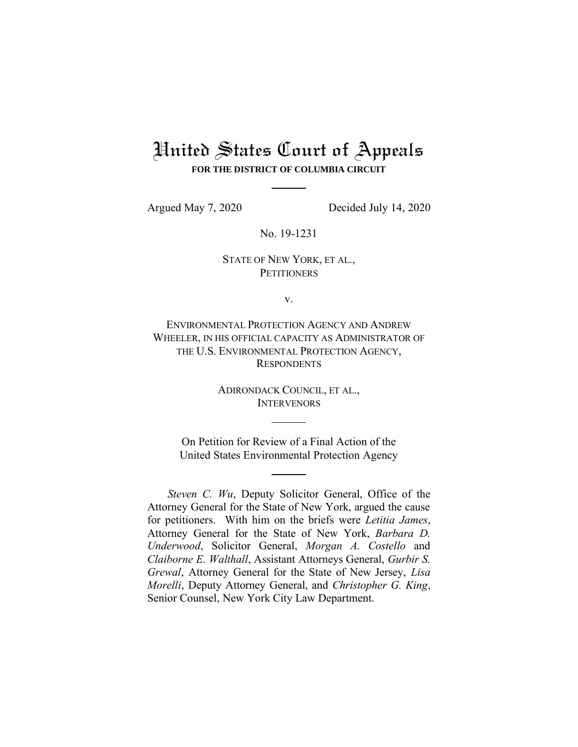# United States Court of Appeals **FOR THE DISTRICT OF COLUMBIA CIRCUIT**

Argued May 7, 2020 Decided July 14, 2020

No. 19-1231

# STATE OF NEW YORK, ET AL., **PETITIONERS**

v.

ENVIRONMENTAL PROTECTION AGENCY AND ANDREW WHEELER, IN HIS OFFICIAL CAPACITY AS ADMINISTRATOR OF THE U.S. ENVIRONMENTAL PROTECTION AGENCY, **RESPONDENTS** 

> ADIRONDACK COUNCIL, ET AL., **INTERVENORS**

On Petition for Review of a Final Action of the United States Environmental Protection Agency

*Steven C. Wu*, Deputy Solicitor General, Office of the Attorney General for the State of New York, argued the cause for petitioners. With him on the briefs were *Letitia James*, Attorney General for the State of New York, *Barbara D. Underwood*, Solicitor General, *Morgan A. Costello* and *Claiborne E. Walthall*, Assistant Attorneys General, *Gurbir S. Grewal*, Attorney General for the State of New Jersey, *Lisa Morelli*, Deputy Attorney General, and *Christopher G. King*, Senior Counsel, New York City Law Department.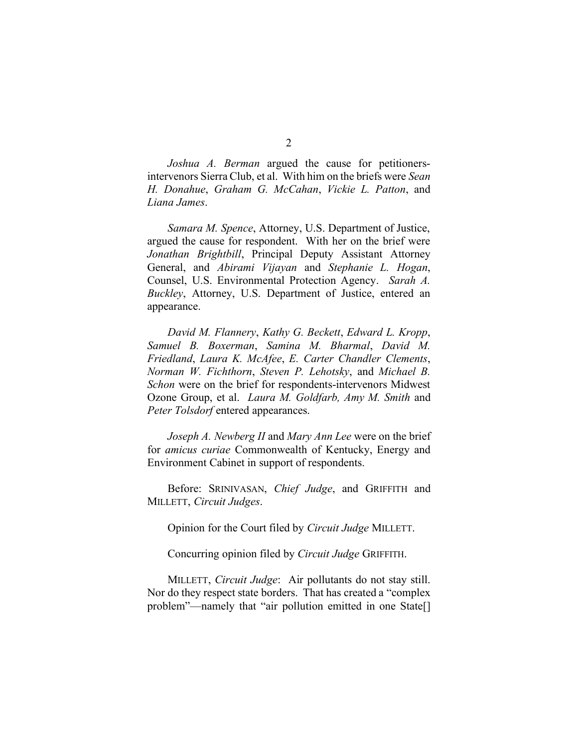*Joshua A. Berman* argued the cause for petitionersintervenors Sierra Club, et al. With him on the briefs were *Sean H. Donahue*, *Graham G. McCahan*, *Vickie L. Patton*, and *Liana James*.

*Samara M. Spence*, Attorney, U.S. Department of Justice, argued the cause for respondent. With her on the brief were *Jonathan Brightbill*, Principal Deputy Assistant Attorney General, and *Abirami Vijayan* and *Stephanie L. Hogan*, Counsel, U.S. Environmental Protection Agency. *Sarah A. Buckley*, Attorney, U.S. Department of Justice, entered an appearance.

*David M. Flannery*, *Kathy G. Beckett*, *Edward L. Kropp*, *Samuel B. Boxerman*, *Samina M. Bharmal*, *David M. Friedland*, *Laura K. McAfee*, *E. Carter Chandler Clements*, *Norman W. Fichthorn*, *Steven P. Lehotsky*, and *Michael B. Schon* were on the brief for respondents-intervenors Midwest Ozone Group, et al. *Laura M. Goldfarb, Amy M. Smith* and *Peter Tolsdorf* entered appearances.

*Joseph A. Newberg II* and *Mary Ann Lee* were on the brief for *amicus curiae* Commonwealth of Kentucky, Energy and Environment Cabinet in support of respondents.

Before: SRINIVASAN, *Chief Judge*, and GRIFFITH and MILLETT, *Circuit Judges*.

Opinion for the Court filed by *Circuit Judge* MILLETT.

Concurring opinion filed by *Circuit Judge* GRIFFITH.

MILLETT, *Circuit Judge*: Air pollutants do not stay still. Nor do they respect state borders. That has created a "complex problem"—namely that "air pollution emitted in one State[]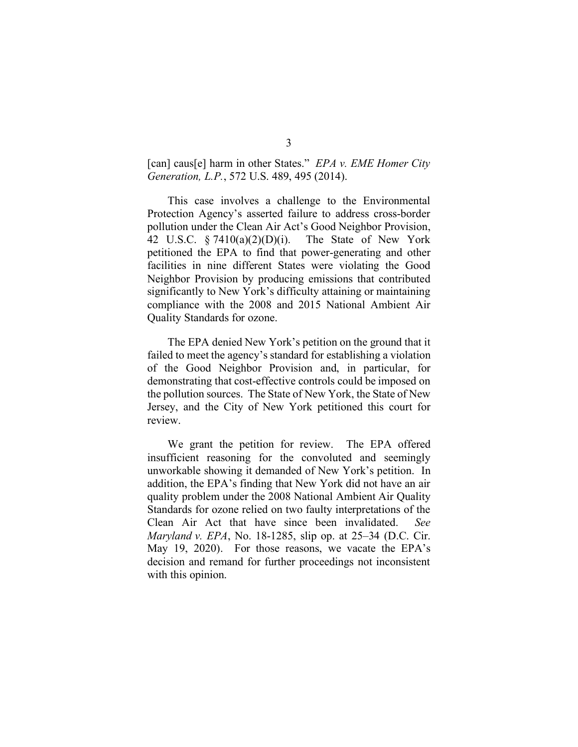[can] caus[e] harm in other States." *EPA v. EME Homer City Generation, L.P.*, 572 U.S. 489, 495 (2014).

This case involves a challenge to the Environmental Protection Agency's asserted failure to address cross-border pollution under the Clean Air Act's Good Neighbor Provision, 42 U.S.C. § 7410(a)(2)(D)(i). The State of New York petitioned the EPA to find that power-generating and other facilities in nine different States were violating the Good Neighbor Provision by producing emissions that contributed significantly to New York's difficulty attaining or maintaining compliance with the 2008 and 2015 National Ambient Air Quality Standards for ozone.

The EPA denied New York's petition on the ground that it failed to meet the agency's standard for establishing a violation of the Good Neighbor Provision and, in particular, for demonstrating that cost-effective controls could be imposed on the pollution sources. The State of New York, the State of New Jersey, and the City of New York petitioned this court for review.

We grant the petition for review. The EPA offered insufficient reasoning for the convoluted and seemingly unworkable showing it demanded of New York's petition. In addition, the EPA's finding that New York did not have an air quality problem under the 2008 National Ambient Air Quality Standards for ozone relied on two faulty interpretations of the Clean Air Act that have since been invalidated. *See Maryland v. EPA*, No. 18-1285, slip op. at 25–34 (D.C. Cir. May 19, 2020). For those reasons, we vacate the EPA's decision and remand for further proceedings not inconsistent with this opinion.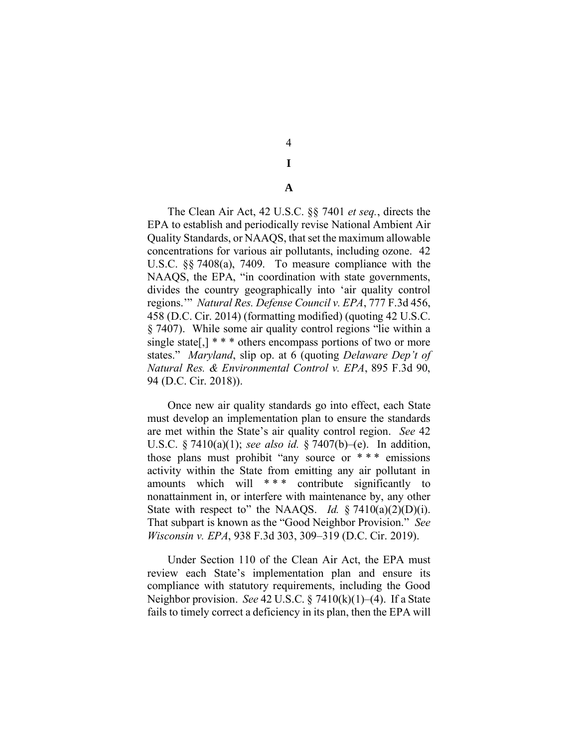4 **I**

**A**

The Clean Air Act, 42 U.S.C. §§ 7401 *et seq.*, directs the EPA to establish and periodically revise National Ambient Air Quality Standards, or NAAQS, that set the maximum allowable concentrations for various air pollutants, including ozone. 42 U.S.C. §§ 7408(a), 7409. To measure compliance with the NAAQS, the EPA, "in coordination with state governments, divides the country geographically into 'air quality control regions.'" *Natural Res. Defense Council v. EPA*, 777 F.3d 456, 458 (D.C. Cir. 2014) (formatting modified) (quoting 42 U.S.C. § 7407). While some air quality control regions "lie within a single state[,]  $* * *$  others encompass portions of two or more states." *Maryland*, slip op. at 6 (quoting *Delaware Dep't of Natural Res. & Environmental Control v. EPA*, 895 F.3d 90, 94 (D.C. Cir. 2018)).

Once new air quality standards go into effect, each State must develop an implementation plan to ensure the standards are met within the State's air quality control region. *See* 42 U.S.C. § 7410(a)(1); *see also id.* § 7407(b)–(e). In addition, those plans must prohibit "any source or \* \* \* emissions activity within the State from emitting any air pollutant in amounts which will \*\*\* contribute significantly to nonattainment in, or interfere with maintenance by, any other State with respect to" the NAAOS. *Id.* § 7410(a)(2)(D)(i). That subpart is known as the "Good Neighbor Provision." *See Wisconsin v. EPA*, 938 F.3d 303, 309–319 (D.C. Cir. 2019).

Under Section 110 of the Clean Air Act, the EPA must review each State's implementation plan and ensure its compliance with statutory requirements, including the Good Neighbor provision. *See* 42 U.S.C. § 7410(k)(1)–(4). If a State fails to timely correct a deficiency in its plan, then the EPA will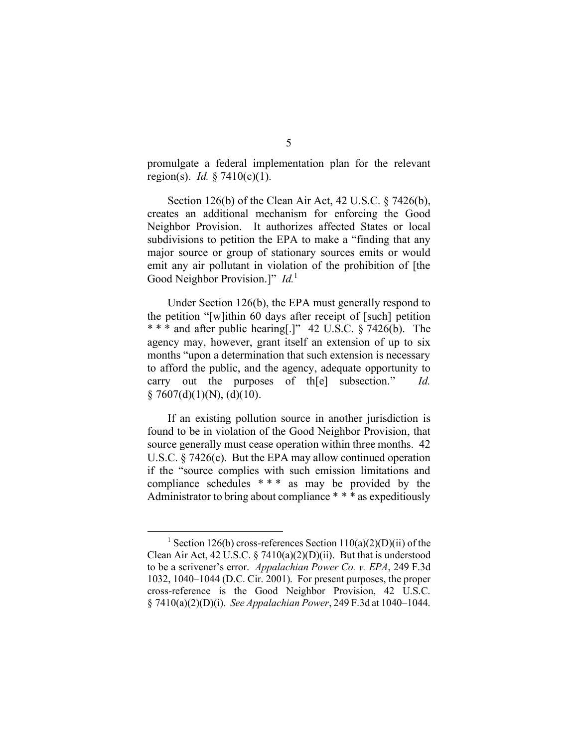promulgate a federal implementation plan for the relevant region(s). *Id.* § 7410(c)(1).

Section 126(b) of the Clean Air Act, 42 U.S.C. § 7426(b), creates an additional mechanism for enforcing the Good Neighbor Provision. It authorizes affected States or local subdivisions to petition the EPA to make a "finding that any major source or group of stationary sources emits or would emit any air pollutant in violation of the prohibition of [the Good Neighbor Provision.]" *Id.*<sup>1</sup>

Under Section 126(b), the EPA must generally respond to the petition "[w]ithin 60 days after receipt of [such] petition \* \* \* and after public hearing[.]" 42 U.S.C. § 7426(b). The agency may, however, grant itself an extension of up to six months "upon a determination that such extension is necessary to afford the public, and the agency, adequate opportunity to carry out the purposes of th[e] subsection." *Id.*  $§ 7607(d)(1)(N), (d)(10).$ 

If an existing pollution source in another jurisdiction is found to be in violation of the Good Neighbor Provision, that source generally must cease operation within three months. 42 U.S.C. § 7426(c). But the EPA may allow continued operation if the "source complies with such emission limitations and compliance schedules  $***$  as may be provided by the Administrator to bring about compliance \* \* \* as expeditiously

<sup>&</sup>lt;sup>1</sup> Section 126(b) cross-references Section  $110(a)(2)(D)(ii)$  of the Clean Air Act, 42 U.S.C.  $\S$  7410(a)(2)(D)(ii). But that is understood to be a scrivener's error. *Appalachian Power Co. v. EPA*, 249 F.3d 1032, 1040–1044 (D.C. Cir. 2001). For present purposes, the proper cross-reference is the Good Neighbor Provision, 42 U.S.C. § 7410(a)(2)(D)(i). *See Appalachian Power*, 249 F.3d at 1040–1044.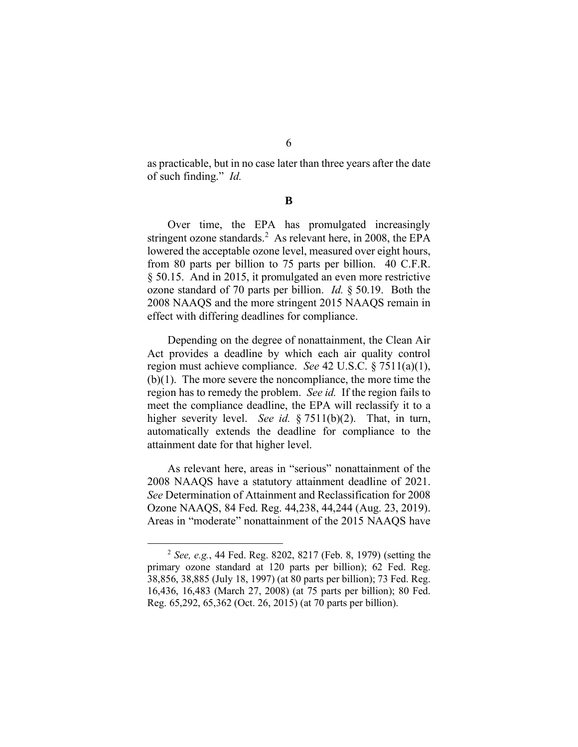as practicable, but in no case later than three years after the date of such finding." *Id.*

**B**

Over time, the EPA has promulgated increasingly stringent ozone standards.<sup>2</sup> As relevant here, in 2008, the EPA lowered the acceptable ozone level, measured over eight hours, from 80 parts per billion to 75 parts per billion. 40 C.F.R. § 50.15. And in 2015, it promulgated an even more restrictive ozone standard of 70 parts per billion. *Id.* § 50.19. Both the 2008 NAAQS and the more stringent 2015 NAAQS remain in effect with differing deadlines for compliance.

Depending on the degree of nonattainment, the Clean Air Act provides a deadline by which each air quality control region must achieve compliance. *See* 42 U.S.C. § 7511(a)(1), (b)(1). The more severe the noncompliance, the more time the region has to remedy the problem. *See id.* If the region fails to meet the compliance deadline, the EPA will reclassify it to a higher severity level. *See id.* § 7511(b)(2). That, in turn, automatically extends the deadline for compliance to the attainment date for that higher level.

As relevant here, areas in "serious" nonattainment of the 2008 NAAQS have a statutory attainment deadline of 2021. *See* Determination of Attainment and Reclassification for 2008 Ozone NAAQS, 84 Fed. Reg. 44,238, 44,244 (Aug. 23, 2019). Areas in "moderate" nonattainment of the 2015 NAAQS have

<sup>2</sup> *See, e.g.*, 44 Fed. Reg. 8202, 8217 (Feb. 8, 1979) (setting the primary ozone standard at 120 parts per billion); 62 Fed. Reg. 38,856, 38,885 (July 18, 1997) (at 80 parts per billion); 73 Fed. Reg. 16,436, 16,483 (March 27, 2008) (at 75 parts per billion); 80 Fed. Reg. 65,292, 65,362 (Oct. 26, 2015) (at 70 parts per billion).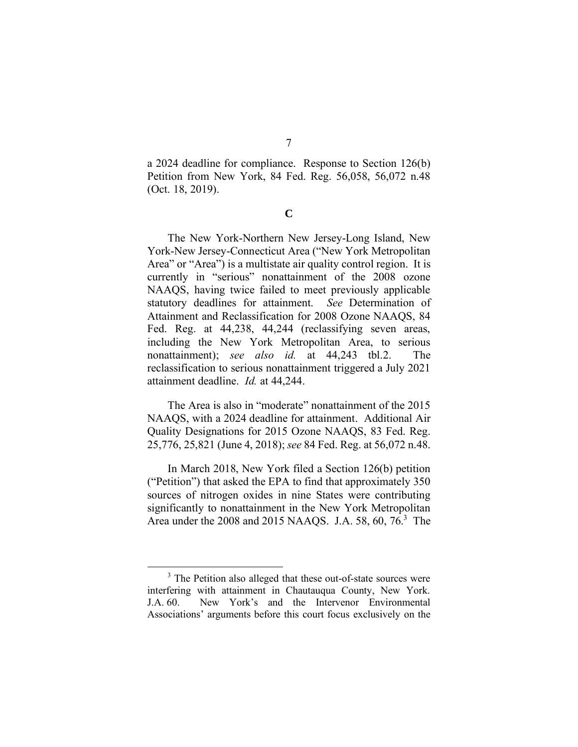a 2024 deadline for compliance. Response to Section 126(b) Petition from New York, 84 Fed. Reg. 56,058, 56,072 n.48 (Oct. 18, 2019).

**C**

The New York-Northern New Jersey-Long Island, New York-New Jersey-Connecticut Area ("New York Metropolitan Area" or "Area") is a multistate air quality control region. It is currently in "serious" nonattainment of the 2008 ozone NAAQS, having twice failed to meet previously applicable statutory deadlines for attainment. *See* Determination of Attainment and Reclassification for 2008 Ozone NAAQS, 84 Fed. Reg. at 44,238, 44,244 (reclassifying seven areas, including the New York Metropolitan Area, to serious nonattainment); *see also id.* at 44,243 tbl.2. The reclassification to serious nonattainment triggered a July 2021 attainment deadline. *Id.* at 44,244.

The Area is also in "moderate" nonattainment of the 2015 NAAQS, with a 2024 deadline for attainment. Additional Air Quality Designations for 2015 Ozone NAAQS, 83 Fed. Reg. 25,776, 25,821 (June 4, 2018); *see* 84 Fed. Reg. at 56,072 n.48.

In March 2018, New York filed a Section 126(b) petition ("Petition") that asked the EPA to find that approximately 350 sources of nitrogen oxides in nine States were contributing significantly to nonattainment in the New York Metropolitan Area under the 2008 and 2015 NAAQS. J.A. 58, 60, 76.<sup>3</sup> The

<sup>&</sup>lt;sup>3</sup> The Petition also alleged that these out-of-state sources were interfering with attainment in Chautauqua County, New York. J.A. 60. New York's and the Intervenor Environmental Associations' arguments before this court focus exclusively on the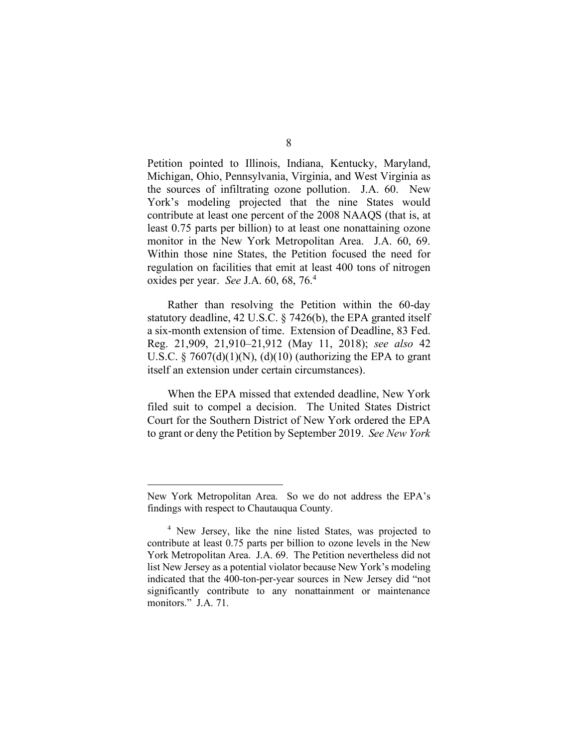Petition pointed to Illinois, Indiana, Kentucky, Maryland, Michigan, Ohio, Pennsylvania, Virginia, and West Virginia as the sources of infiltrating ozone pollution. J.A. 60. New York's modeling projected that the nine States would contribute at least one percent of the 2008 NAAQS (that is, at least 0.75 parts per billion) to at least one nonattaining ozone monitor in the New York Metropolitan Area. J.A. 60, 69. Within those nine States, the Petition focused the need for regulation on facilities that emit at least 400 tons of nitrogen oxides per year. *See* J.A. 60, 68, 76.<sup>4</sup>

Rather than resolving the Petition within the 60-day statutory deadline, 42 U.S.C. § 7426(b), the EPA granted itself a six-month extension of time. Extension of Deadline, 83 Fed. Reg. 21,909, 21,910–21,912 (May 11, 2018); *see also* 42 U.S.C.  $\S$  7607(d)(1)(N), (d)(10) (authorizing the EPA to grant itself an extension under certain circumstances).

When the EPA missed that extended deadline, New York filed suit to compel a decision. The United States District Court for the Southern District of New York ordered the EPA to grant or deny the Petition by September 2019. *See New York* 

New York Metropolitan Area. So we do not address the EPA's findings with respect to Chautauqua County.

<sup>&</sup>lt;sup>4</sup> New Jersey, like the nine listed States, was projected to contribute at least 0.75 parts per billion to ozone levels in the New York Metropolitan Area. J.A. 69. The Petition nevertheless did not list New Jersey as a potential violator because New York's modeling indicated that the 400-ton-per-year sources in New Jersey did "not significantly contribute to any nonattainment or maintenance monitors." J.A. 71.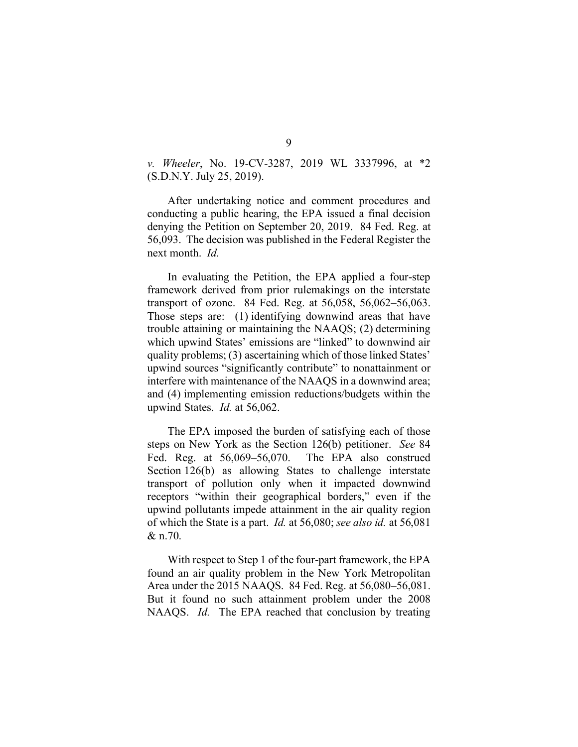*v. Wheeler*, No. 19-CV-3287, 2019 WL 3337996, at \*2 (S.D.N.Y. July 25, 2019).

After undertaking notice and comment procedures and conducting a public hearing, the EPA issued a final decision denying the Petition on September 20, 2019. 84 Fed. Reg. at 56,093. The decision was published in the Federal Register the next month. *Id.*

In evaluating the Petition, the EPA applied a four-step framework derived from prior rulemakings on the interstate transport of ozone. 84 Fed. Reg. at 56,058, 56,062–56,063. Those steps are: (1) identifying downwind areas that have trouble attaining or maintaining the NAAQS; (2) determining which upwind States' emissions are "linked" to downwind air quality problems; (3) ascertaining which of those linked States' upwind sources "significantly contribute" to nonattainment or interfere with maintenance of the NAAQS in a downwind area; and (4) implementing emission reductions/budgets within the upwind States. *Id.* at 56,062.

The EPA imposed the burden of satisfying each of those steps on New York as the Section 126(b) petitioner. *See* 84 Fed. Reg. at 56,069–56,070. The EPA also construed Section 126(b) as allowing States to challenge interstate transport of pollution only when it impacted downwind receptors "within their geographical borders," even if the upwind pollutants impede attainment in the air quality region of which the State is a part. *Id.* at 56,080; *see also id.* at 56,081 & n.70.

With respect to Step 1 of the four-part framework, the EPA found an air quality problem in the New York Metropolitan Area under the 2015 NAAQS. 84 Fed. Reg. at 56,080–56,081. But it found no such attainment problem under the 2008 NAAQS. *Id.* The EPA reached that conclusion by treating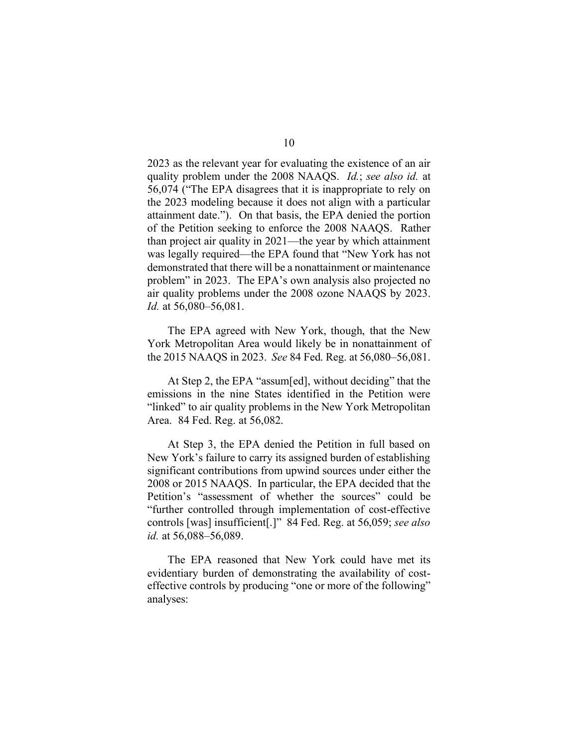2023 as the relevant year for evaluating the existence of an air quality problem under the 2008 NAAQS. *Id.*; *see also id.* at 56,074 ("The EPA disagrees that it is inappropriate to rely on the 2023 modeling because it does not align with a particular attainment date."). On that basis, the EPA denied the portion of the Petition seeking to enforce the 2008 NAAQS. Rather than project air quality in 2021—the year by which attainment was legally required—the EPA found that "New York has not demonstrated that there will be a nonattainment or maintenance problem" in 2023. The EPA's own analysis also projected no air quality problems under the 2008 ozone NAAQS by 2023. *Id.* at 56,080–56,081.

The EPA agreed with New York, though, that the New York Metropolitan Area would likely be in nonattainment of the 2015 NAAQS in 2023. *See* 84 Fed. Reg. at 56,080–56,081.

At Step 2, the EPA "assum[ed], without deciding" that the emissions in the nine States identified in the Petition were "linked" to air quality problems in the New York Metropolitan Area. 84 Fed. Reg. at 56,082.

At Step 3, the EPA denied the Petition in full based on New York's failure to carry its assigned burden of establishing significant contributions from upwind sources under either the 2008 or 2015 NAAQS. In particular, the EPA decided that the Petition's "assessment of whether the sources" could be "further controlled through implementation of cost-effective controls [was] insufficient[.]" 84 Fed. Reg. at 56,059; *see also id.* at 56,088–56,089.

The EPA reasoned that New York could have met its evidentiary burden of demonstrating the availability of costeffective controls by producing "one or more of the following" analyses: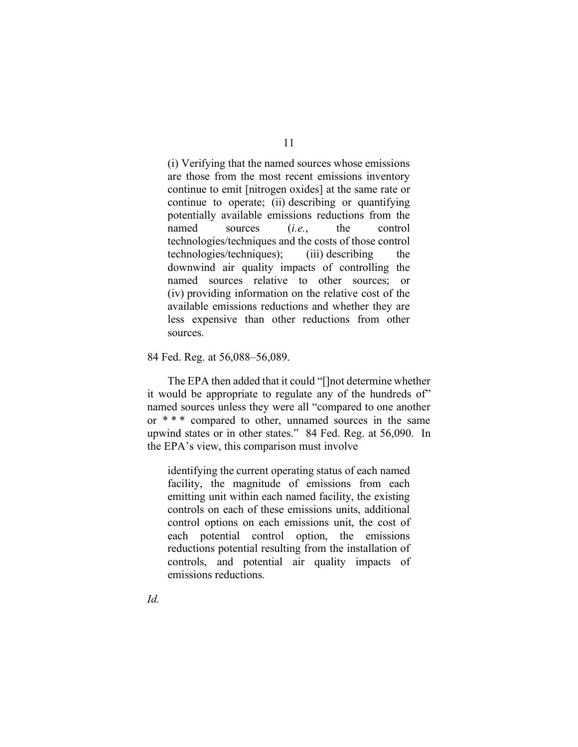(i) Verifying that the named sources whose emissions are those from the most recent emissions inventory continue to emit [nitrogen oxides] at the same rate or continue to operate; (ii) describing or quantifying potentially available emissions reductions from the named sources (*i.e.*, the control technologies/techniques and the costs of those control technologies/techniques); (iii) describing the downwind air quality impacts of controlling the named sources relative to other sources; or (iv) providing information on the relative cost of the available emissions reductions and whether they are less expensive than other reductions from other sources.

#### 84 Fed. Reg. at 56,088–56,089.

The EPA then added that it could "[]not determine whether it would be appropriate to regulate any of the hundreds of" named sources unless they were all "compared to one another or \* \* \* compared to other, unnamed sources in the same upwind states or in other states." 84 Fed. Reg. at 56,090. In the EPA's view, this comparison must involve

identifying the current operating status of each named facility, the magnitude of emissions from each emitting unit within each named facility, the existing controls on each of these emissions units, additional control options on each emissions unit, the cost of each potential control option, the emissions reductions potential resulting from the installation of controls, and potential air quality impacts of emissions reductions.

## 11

*Id.*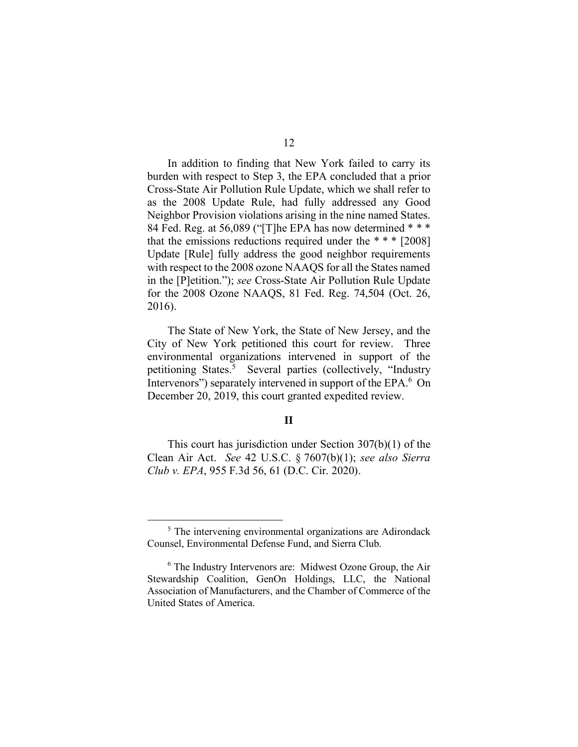In addition to finding that New York failed to carry its burden with respect to Step 3, the EPA concluded that a prior Cross-State Air Pollution Rule Update, which we shall refer to as the 2008 Update Rule, had fully addressed any Good Neighbor Provision violations arising in the nine named States. 84 Fed. Reg. at 56,089 ("[T]he EPA has now determined \* \* \* that the emissions reductions required under the  $***$  [2008] Update [Rule] fully address the good neighbor requirements with respect to the 2008 ozone NAAQS for all the States named in the [P]etition."); *see* Cross-State Air Pollution Rule Update for the 2008 Ozone NAAQS, 81 Fed. Reg. 74,504 (Oct. 26,

The State of New York, the State of New Jersey, and the City of New York petitioned this court for review. Three environmental organizations intervened in support of the petitioning States. 5 Several parties (collectively, "Industry Intervenors") separately intervened in support of the EPA.<sup>6</sup> On December 20, 2019, this court granted expedited review.

2016).

## **II**

This court has jurisdiction under Section 307(b)(1) of the Clean Air Act. *See* 42 U.S.C. § 7607(b)(1); *see also Sierra Club v. EPA*, 955 F.3d 56, 61 (D.C. Cir. 2020).

<sup>&</sup>lt;sup>5</sup> The intervening environmental organizations are Adirondack Counsel, Environmental Defense Fund, and Sierra Club.

 $6$  The Industry Intervenors are: Midwest Ozone Group, the Air Stewardship Coalition, GenOn Holdings, LLC, the National Association of Manufacturers, and the Chamber of Commerce of the United States of America.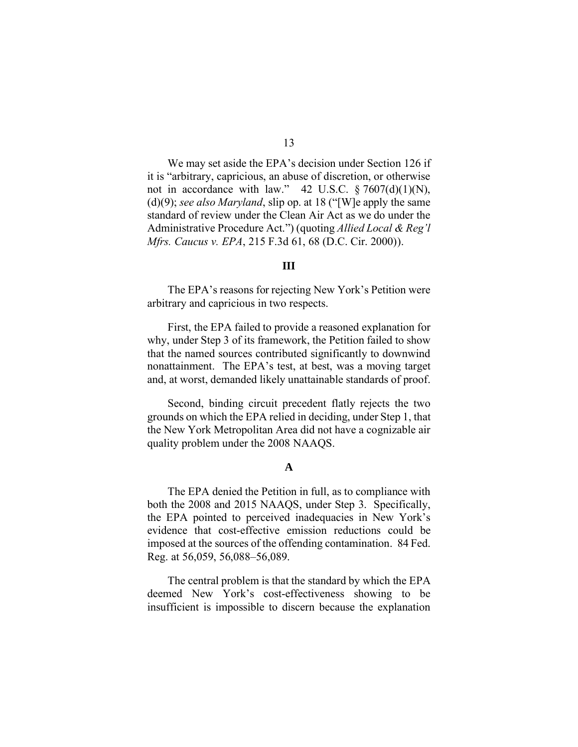We may set aside the EPA's decision under Section 126 if it is "arbitrary, capricious, an abuse of discretion, or otherwise not in accordance with law." 42 U.S.C.  $\S 7607(d)(1)(N)$ , (d)(9); *see also Maryland*, slip op. at 18 ("[W]e apply the same standard of review under the Clean Air Act as we do under the Administrative Procedure Act.") (quoting *Allied Local & Reg'l Mfrs. Caucus v. EPA*, 215 F.3d 61, 68 (D.C. Cir. 2000)).

#### **III**

The EPA's reasons for rejecting New York's Petition were arbitrary and capricious in two respects.

First, the EPA failed to provide a reasoned explanation for why, under Step 3 of its framework, the Petition failed to show that the named sources contributed significantly to downwind nonattainment. The EPA's test, at best, was a moving target and, at worst, demanded likely unattainable standards of proof.

Second, binding circuit precedent flatly rejects the two grounds on which the EPA relied in deciding, under Step 1, that the New York Metropolitan Area did not have a cognizable air quality problem under the 2008 NAAQS.

## **A**

The EPA denied the Petition in full, as to compliance with both the 2008 and 2015 NAAQS, under Step 3. Specifically, the EPA pointed to perceived inadequacies in New York's evidence that cost-effective emission reductions could be imposed at the sources of the offending contamination. 84 Fed. Reg. at 56,059, 56,088–56,089.

The central problem is that the standard by which the EPA deemed New York's cost-effectiveness showing to be insufficient is impossible to discern because the explanation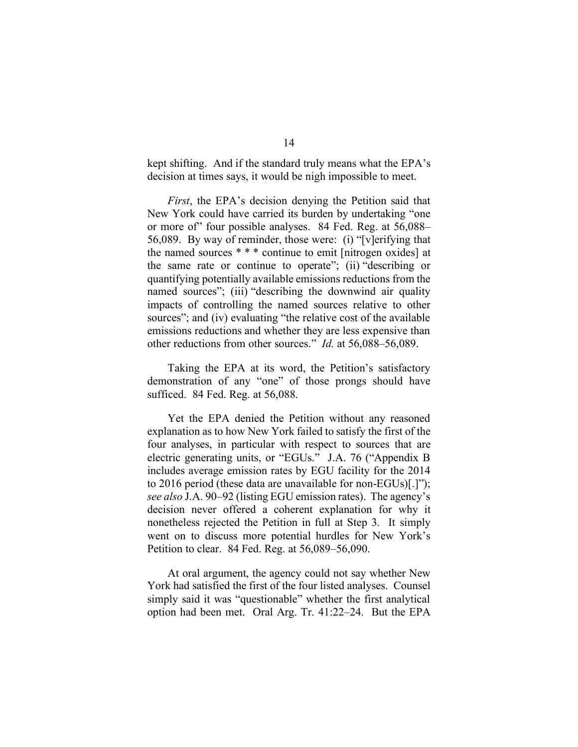kept shifting. And if the standard truly means what the EPA's decision at times says, it would be nigh impossible to meet.

*First*, the EPA's decision denying the Petition said that New York could have carried its burden by undertaking "one or more of" four possible analyses. 84 Fed. Reg. at 56,088– 56,089. By way of reminder, those were:(i) "[v]erifying that the named sources \* \* \* continue to emit [nitrogen oxides] at the same rate or continue to operate"; (ii) "describing or quantifying potentially available emissions reductions from the named sources"; (iii) "describing the downwind air quality impacts of controlling the named sources relative to other sources"; and (iv) evaluating "the relative cost of the available emissions reductions and whether they are less expensive than other reductions from other sources." *Id.* at 56,088–56,089.

Taking the EPA at its word, the Petition's satisfactory demonstration of any "one" of those prongs should have sufficed. 84 Fed. Reg. at 56,088.

Yet the EPA denied the Petition without any reasoned explanation as to how New York failed to satisfy the first of the four analyses, in particular with respect to sources that are electric generating units, or "EGUs." J.A. 76 ("Appendix B includes average emission rates by EGU facility for the 2014 to 2016 period (these data are unavailable for non-EGUs)[.]"); *see also* J.A. 90–92 (listing EGU emission rates). The agency's decision never offered a coherent explanation for why it nonetheless rejected the Petition in full at Step 3. It simply went on to discuss more potential hurdles for New York's Petition to clear. 84 Fed. Reg. at 56,089–56,090.

At oral argument, the agency could not say whether New York had satisfied the first of the four listed analyses. Counsel simply said it was "questionable" whether the first analytical option had been met. Oral Arg. Tr. 41:22–24. But the EPA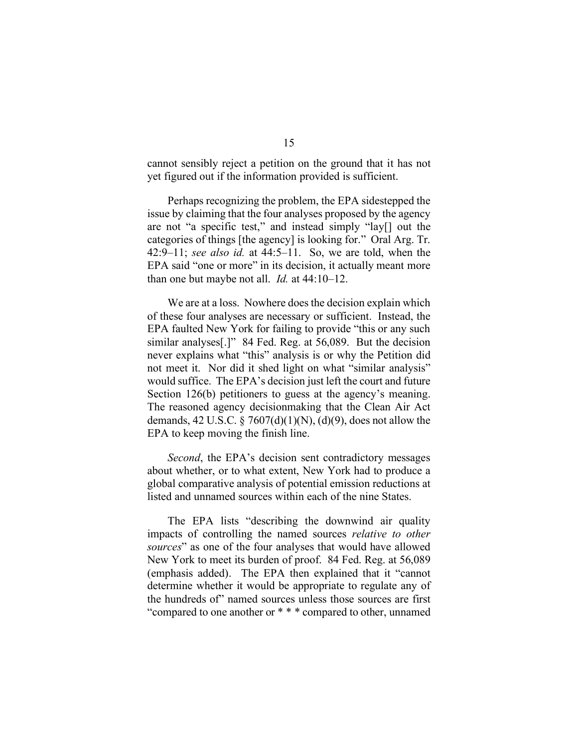cannot sensibly reject a petition on the ground that it has not yet figured out if the information provided is sufficient.

Perhaps recognizing the problem, the EPA sidestepped the issue by claiming that the four analyses proposed by the agency are not "a specific test," and instead simply "lay[] out the categories of things [the agency] is looking for." Oral Arg. Tr. 42:9–11; *see also id.* at 44:5–11. So, we are told, when the EPA said "one or more" in its decision, it actually meant more than one but maybe not all. *Id.* at 44:10–12.

We are at a loss. Nowhere does the decision explain which of these four analyses are necessary or sufficient. Instead, the EPA faulted New York for failing to provide "this or any such similar analyses[.]" 84 Fed. Reg. at 56,089. But the decision never explains what "this" analysis is or why the Petition did not meet it. Nor did it shed light on what "similar analysis" would suffice. The EPA's decision just left the court and future Section 126(b) petitioners to guess at the agency's meaning. The reasoned agency decisionmaking that the Clean Air Act demands, 42 U.S.C. § 7607(d)(1)(N), (d)(9), does not allow the EPA to keep moving the finish line.

*Second*, the EPA's decision sent contradictory messages about whether, or to what extent, New York had to produce a global comparative analysis of potential emission reductions at listed and unnamed sources within each of the nine States.

The EPA lists "describing the downwind air quality impacts of controlling the named sources *relative to other sources*" as one of the four analyses that would have allowed New York to meet its burden of proof. 84 Fed. Reg. at 56,089 (emphasis added). The EPA then explained that it "cannot determine whether it would be appropriate to regulate any of the hundreds of" named sources unless those sources are first "compared to one another or \* \* \* compared to other, unnamed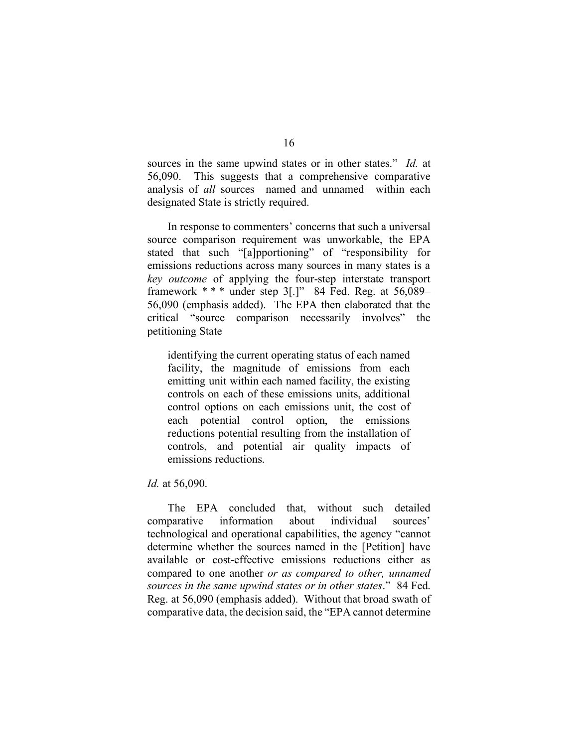sources in the same upwind states or in other states." *Id.* at 56,090. This suggests that a comprehensive comparative analysis of *all* sources—named and unnamed—within each designated State is strictly required.

In response to commenters' concerns that such a universal source comparison requirement was unworkable, the EPA stated that such "[a]pportioning" of "responsibility for emissions reductions across many sources in many states is a *key outcome* of applying the four-step interstate transport framework  $***$  under step 3[.]" 84 Fed. Reg. at 56,089– 56,090 (emphasis added). The EPA then elaborated that the critical "source comparison necessarily involves" the petitioning State

identifying the current operating status of each named facility, the magnitude of emissions from each emitting unit within each named facility, the existing controls on each of these emissions units, additional control options on each emissions unit, the cost of each potential control option, the emissions reductions potential resulting from the installation of controls, and potential air quality impacts of emissions reductions.

#### *Id.* at 56,090.

The EPA concluded that, without such detailed comparative information about individual sources' technological and operational capabilities, the agency "cannot determine whether the sources named in the [Petition] have available or cost-effective emissions reductions either as compared to one another *or as compared to other, unnamed sources in the same upwind states or in other states*." 84 Fed. Reg. at 56,090 (emphasis added). Without that broad swath of comparative data, the decision said, the "EPA cannot determine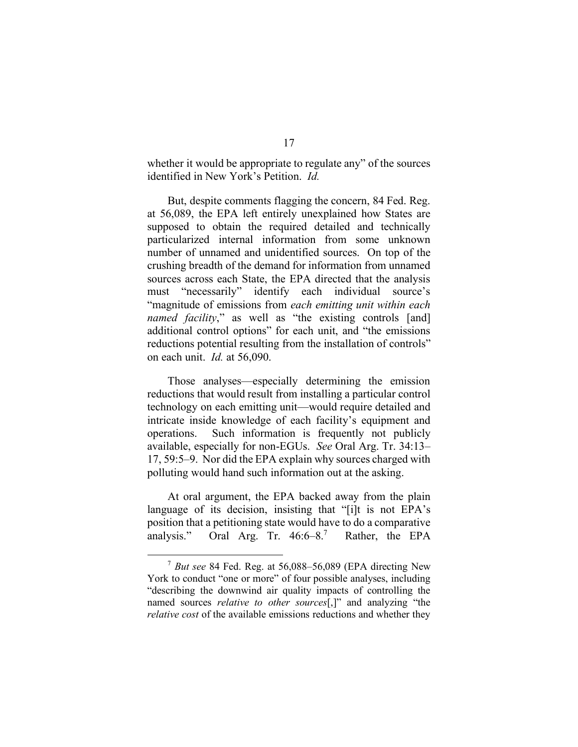whether it would be appropriate to regulate any" of the sources identified in New York's Petition. *Id.*

But, despite comments flagging the concern, 84 Fed. Reg. at 56,089, the EPA left entirely unexplained how States are supposed to obtain the required detailed and technically particularized internal information from some unknown number of unnamed and unidentified sources. On top of the crushing breadth of the demand for information from unnamed sources across each State, the EPA directed that the analysis must "necessarily" identify each individual source's "magnitude of emissions from *each emitting unit within each named facility*," as well as "the existing controls [and] additional control options" for each unit, and "the emissions reductions potential resulting from the installation of controls" on each unit. *Id.* at 56,090.

Those analyses—especially determining the emission reductions that would result from installing a particular control technology on each emitting unit—would require detailed and intricate inside knowledge of each facility's equipment and operations. Such information is frequently not publicly available, especially for non-EGUs. *See* Oral Arg. Tr. 34:13– 17, 59:5–9. Nor did the EPA explain why sources charged with polluting would hand such information out at the asking.

At oral argument, the EPA backed away from the plain language of its decision, insisting that "[i]t is not EPA's position that a petitioning state would have to do a comparative analysis." Oral Arg. Tr. 46:6–8. Rather, the EPA

<sup>7</sup> *But see* 84 Fed. Reg. at 56,088–56,089 (EPA directing New York to conduct "one or more" of four possible analyses, including "describing the downwind air quality impacts of controlling the named sources *relative to other sources*[,]" and analyzing "the *relative cost* of the available emissions reductions and whether they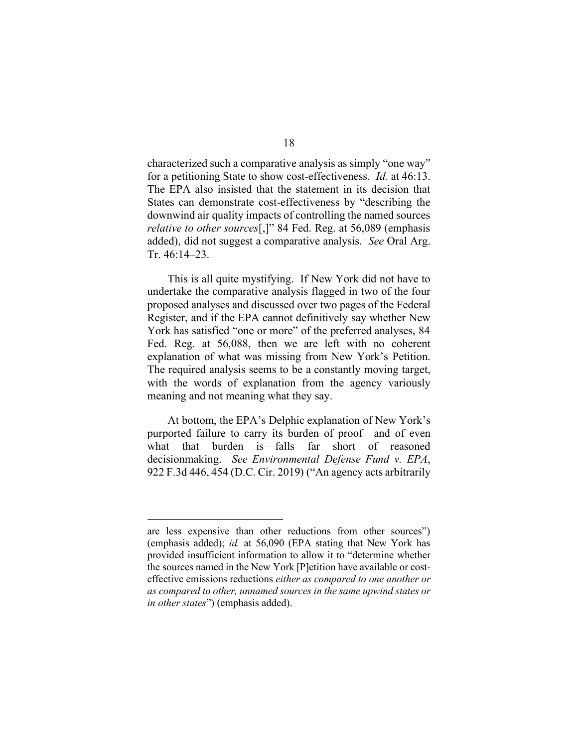characterized such a comparative analysis as simply "one way" for a petitioning State to show cost-effectiveness. *Id.* at 46:13. The EPA also insisted that the statement in its decision that States can demonstrate cost-effectiveness by "describing the downwind air quality impacts of controlling the named sources *relative to other sources*[,]" 84 Fed. Reg. at 56,089 (emphasis added), did not suggest a comparative analysis. *See* Oral Arg. Tr. 46:14–23.

This is all quite mystifying. If New York did not have to undertake the comparative analysis flagged in two of the four proposed analyses and discussed over two pages of the Federal Register, and if the EPA cannot definitively say whether New York has satisfied "one or more" of the preferred analyses, 84 Fed. Reg. at 56,088, then we are left with no coherent explanation of what was missing from New York's Petition. The required analysis seems to be a constantly moving target, with the words of explanation from the agency variously meaning and not meaning what they say.

At bottom, the EPA's Delphic explanation of New York's purported failure to carry its burden of proof—and of even what that burden is—falls far short of reasoned decisionmaking. *See Environmental Defense Fund v. EPA*, 922 F.3d 446, 454 (D.C. Cir. 2019) ("An agency acts arbitrarily

are less expensive than other reductions from other sources") (emphasis added); *id.* at 56,090 (EPA stating that New York has provided insufficient information to allow it to "determine whether the sources named in the New York [P]etition have available or costeffective emissions reductions *either as compared to one another or as compared to other, unnamed sources in the same upwind states or in other states*") (emphasis added).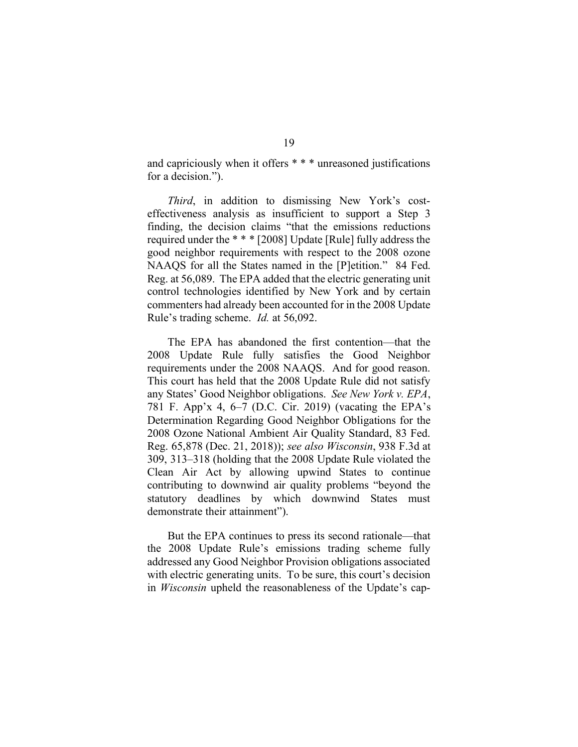and capriciously when it offers \* \* \* unreasoned justifications for a decision.").

*Third*, in addition to dismissing New York's costeffectiveness analysis as insufficient to support a Step 3 finding, the decision claims "that the emissions reductions required under the \* \* \* [2008] Update [Rule] fully address the good neighbor requirements with respect to the 2008 ozone NAAQS for all the States named in the [P]etition." 84 Fed. Reg. at 56,089. The EPA added that the electric generating unit control technologies identified by New York and by certain commenters had already been accounted for in the 2008 Update Rule's trading scheme. *Id.* at 56,092.

The EPA has abandoned the first contention—that the 2008 Update Rule fully satisfies the Good Neighbor requirements under the 2008 NAAQS. And for good reason. This court has held that the 2008 Update Rule did not satisfy any States' Good Neighbor obligations. *See New York v. EPA*, 781 F. App'x 4, 6–7 (D.C. Cir. 2019) (vacating the EPA's Determination Regarding Good Neighbor Obligations for the 2008 Ozone National Ambient Air Quality Standard, 83 Fed. Reg. 65,878 (Dec. 21, 2018)); *see also Wisconsin*, 938 F.3d at 309, 313–318 (holding that the 2008 Update Rule violated the Clean Air Act by allowing upwind States to continue contributing to downwind air quality problems "beyond the statutory deadlines by which downwind States must demonstrate their attainment").

But the EPA continues to press its second rationale—that the 2008 Update Rule's emissions trading scheme fully addressed any Good Neighbor Provision obligations associated with electric generating units. To be sure, this court's decision in *Wisconsin* upheld the reasonableness of the Update's cap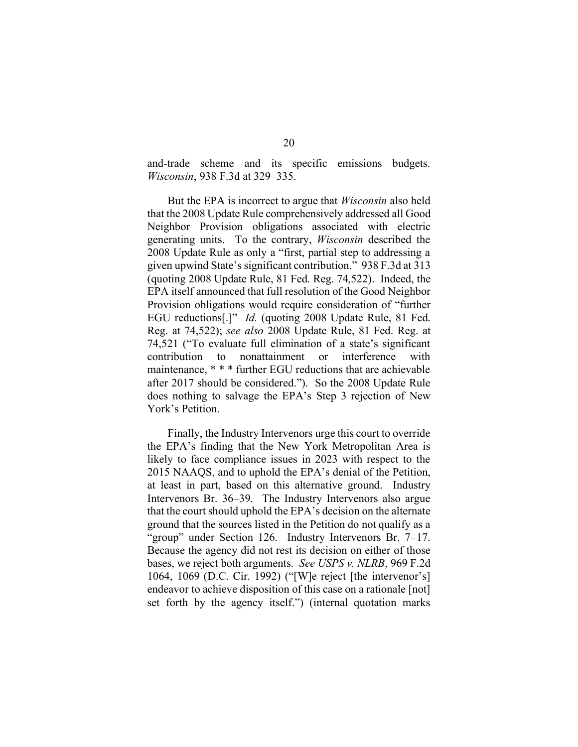and-trade scheme and its specific emissions budgets. *Wisconsin*, 938 F.3d at 329–335.

But the EPA is incorrect to argue that *Wisconsin* also held that the 2008 Update Rule comprehensively addressed all Good Neighbor Provision obligations associated with electric generating units. To the contrary, *Wisconsin* described the 2008 Update Rule as only a "first, partial step to addressing a given upwind State's significant contribution." 938 F.3d at 313 (quoting 2008 Update Rule, 81 Fed. Reg. 74,522). Indeed, the EPA itself announced that full resolution of the Good Neighbor Provision obligations would require consideration of "further EGU reductions[.]" *Id.* (quoting 2008 Update Rule, 81 Fed. Reg. at 74,522); *see also* 2008 Update Rule, 81 Fed. Reg. at 74,521 ("To evaluate full elimination of a state's significant contribution to nonattainment or interference with maintenance, \* \* \* further EGU reductions that are achievable after 2017 should be considered."). So the 2008 Update Rule does nothing to salvage the EPA's Step 3 rejection of New York's Petition.

Finally, the Industry Intervenors urge this court to override the EPA's finding that the New York Metropolitan Area is likely to face compliance issues in 2023 with respect to the 2015 NAAQS, and to uphold the EPA's denial of the Petition, at least in part, based on this alternative ground. Industry Intervenors Br. 36–39. The Industry Intervenors also argue that the court should uphold the EPA's decision on the alternate ground that the sources listed in the Petition do not qualify as a "group" under Section 126. Industry Intervenors Br. 7–17. Because the agency did not rest its decision on either of those bases, we reject both arguments. *See USPS v. NLRB*, 969 F.2d 1064, 1069 (D.C. Cir. 1992) ("[W]e reject [the intervenor's] endeavor to achieve disposition of this case on a rationale [not] set forth by the agency itself.") (internal quotation marks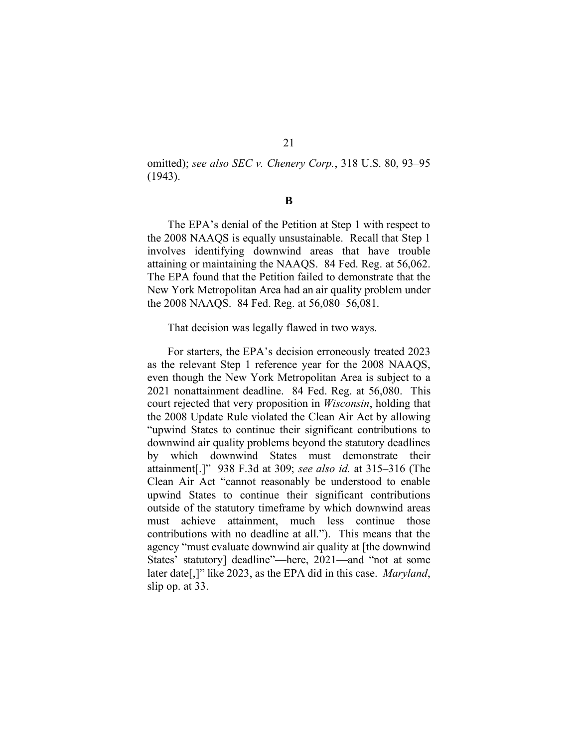21

omitted); *see also SEC v. Chenery Corp.*, 318 U.S. 80, 93–95 (1943).

**B**

The EPA's denial of the Petition at Step 1 with respect to the 2008 NAAQS is equally unsustainable. Recall that Step 1 involves identifying downwind areas that have trouble attaining or maintaining the NAAQS. 84 Fed. Reg. at 56,062. The EPA found that the Petition failed to demonstrate that the New York Metropolitan Area had an air quality problem under the 2008 NAAQS. 84 Fed. Reg. at 56,080–56,081.

That decision was legally flawed in two ways.

For starters, the EPA's decision erroneously treated 2023 as the relevant Step 1 reference year for the 2008 NAAQS, even though the New York Metropolitan Area is subject to a 2021 nonattainment deadline. 84 Fed. Reg. at 56,080. This court rejected that very proposition in *Wisconsin*, holding that the 2008 Update Rule violated the Clean Air Act by allowing "upwind States to continue their significant contributions to downwind air quality problems beyond the statutory deadlines by which downwind States must demonstrate their attainment[.]" 938 F.3d at 309; *see also id.* at 315–316 (The Clean Air Act "cannot reasonably be understood to enable upwind States to continue their significant contributions outside of the statutory timeframe by which downwind areas must achieve attainment, much less continue those contributions with no deadline at all."). This means that the agency "must evaluate downwind air quality at [the downwind States' statutory] deadline"—here, 2021—and "not at some later date[,]" like 2023, as the EPA did in this case. *Maryland*, slip op. at 33.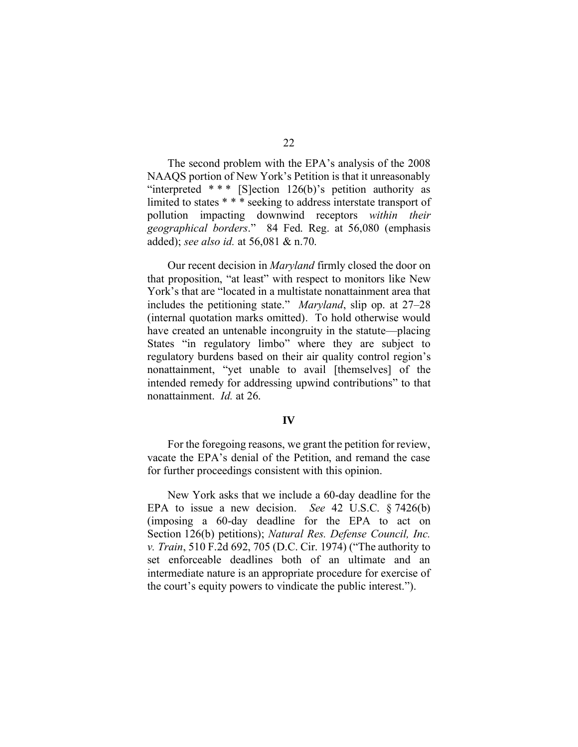The second problem with the EPA's analysis of the 2008 NAAQS portion of New York's Petition is that it unreasonably "interpreted  $***$  [S]ection 126(b)'s petition authority as limited to states \* \* \* seeking to address interstate transport of pollution impacting downwind receptors *within their geographical borders*." 84 Fed. Reg. at 56,080 (emphasis added); *see also id.* at 56,081 & n.70.

Our recent decision in *Maryland* firmly closed the door on that proposition, "at least" with respect to monitors like New York's that are "located in a multistate nonattainment area that includes the petitioning state." *Maryland*, slip op. at 27–28 (internal quotation marks omitted). To hold otherwise would have created an untenable incongruity in the statute—placing States "in regulatory limbo" where they are subject to regulatory burdens based on their air quality control region's nonattainment, "yet unable to avail [themselves] of the intended remedy for addressing upwind contributions" to that nonattainment. *Id.* at 26.

## **IV**

For the foregoing reasons, we grant the petition for review, vacate the EPA's denial of the Petition, and remand the case for further proceedings consistent with this opinion.

New York asks that we include a 60-day deadline for the EPA to issue a new decision. *See* 42 U.S.C. § 7426(b) (imposing a 60-day deadline for the EPA to act on Section 126(b) petitions); *Natural Res. Defense Council, Inc. v. Train*, 510 F.2d 692, 705 (D.C. Cir. 1974) ("The authority to set enforceable deadlines both of an ultimate and an intermediate nature is an appropriate procedure for exercise of the court's equity powers to vindicate the public interest.").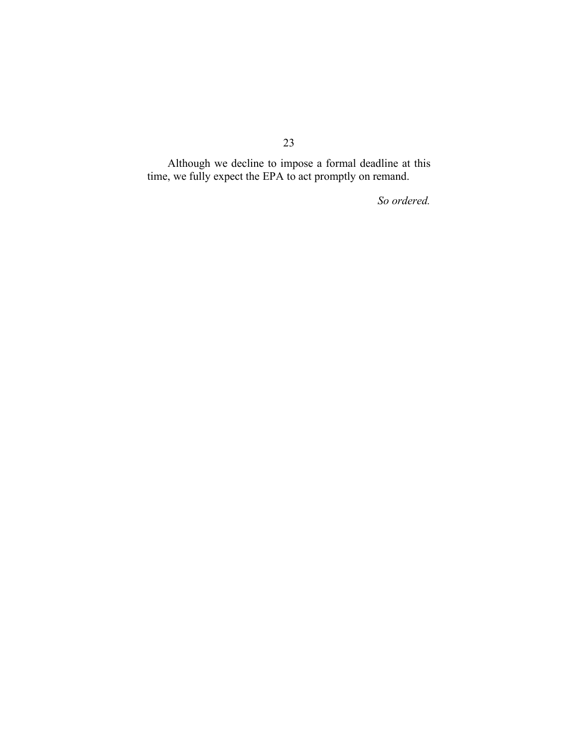Although we decline to impose a formal deadline at this time, we fully expect the EPA to act promptly on remand.

*So ordered.*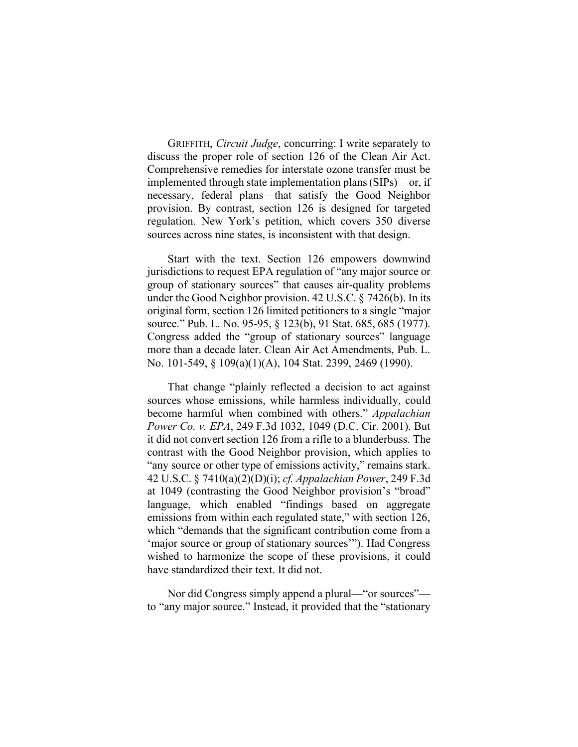GRIFFITH, *Circuit Judge*, concurring: I write separately to discuss the proper role of section 126 of the Clean Air Act. Comprehensive remedies for interstate ozone transfer must be implemented through state implementation plans(SIPs)—or, if necessary, federal plans—that satisfy the Good Neighbor provision. By contrast, section 126 is designed for targeted regulation. New York's petition, which covers 350 diverse sources across nine states, is inconsistent with that design.

Start with the text. Section 126 empowers downwind jurisdictions to request EPA regulation of "any major source or group of stationary sources" that causes air-quality problems under the Good Neighbor provision. 42 U.S.C. § 7426(b). In its original form, section 126 limited petitioners to a single "major source." Pub. L. No. 95-95, § 123(b), 91 Stat. 685, 685 (1977). Congress added the "group of stationary sources" language more than a decade later. Clean Air Act Amendments, Pub. L. No. 101-549, § 109(a)(1)(A), 104 Stat. 2399, 2469 (1990).

That change "plainly reflected a decision to act against sources whose emissions, while harmless individually, could become harmful when combined with others." *Appalachian Power Co. v. EPA*, 249 F.3d 1032, 1049 (D.C. Cir. 2001). But it did not convert section 126 from a rifle to a blunderbuss. The contrast with the Good Neighbor provision, which applies to "any source or other type of emissions activity," remains stark. 42 U.S.C. § 7410(a)(2)(D)(i); *cf. Appalachian Power*, 249 F.3d at 1049 (contrasting the Good Neighbor provision's "broad" language, which enabled "findings based on aggregate emissions from within each regulated state," with section 126, which "demands that the significant contribution come from a 'major source or group of stationary sources'"). Had Congress wished to harmonize the scope of these provisions, it could have standardized their text. It did not.

Nor did Congress simply append a plural—"or sources" to "any major source." Instead, it provided that the "stationary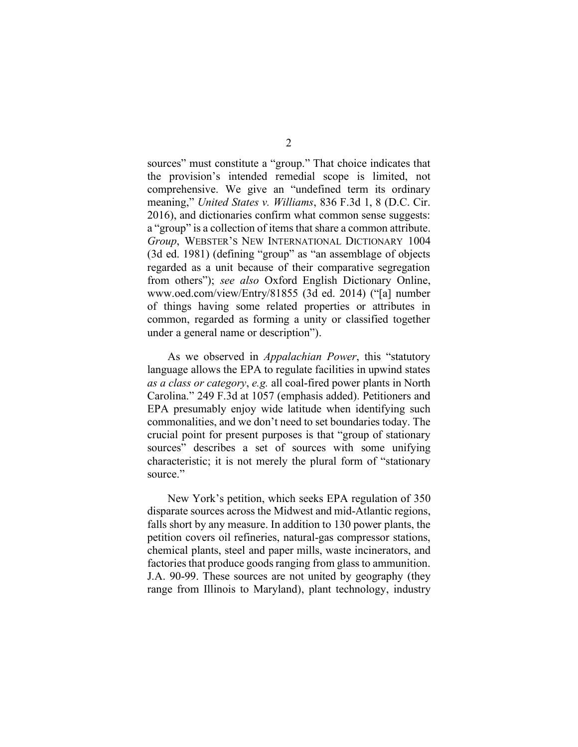sources" must constitute a "group." That choice indicates that the provision's intended remedial scope is limited, not comprehensive. We give an "undefined term its ordinary meaning," *United States v. Williams*, 836 F.3d 1, 8 (D.C. Cir. 2016), and dictionaries confirm what common sense suggests: a "group" is a collection of items that share a common attribute. *Group*, WEBSTER'S NEW INTERNATIONAL DICTIONARY 1004 (3d ed. 1981) (defining "group" as "an assemblage of objects regarded as a unit because of their comparative segregation from others"); *see also* Oxford English Dictionary Online, www.oed.com/view/Entry/81855 (3d ed. 2014) ("[a] number of things having some related properties or attributes in common, regarded as forming a unity or classified together under a general name or description").

As we observed in *Appalachian Power*, this "statutory language allows the EPA to regulate facilities in upwind states *as a class or category*, *e.g.* all coal-fired power plants in North Carolina." 249 F.3d at 1057 (emphasis added). Petitioners and EPA presumably enjoy wide latitude when identifying such commonalities, and we don't need to set boundaries today. The crucial point for present purposes is that "group of stationary sources" describes a set of sources with some unifying characteristic; it is not merely the plural form of "stationary source."

New York's petition, which seeks EPA regulation of 350 disparate sources across the Midwest and mid-Atlantic regions, falls short by any measure. In addition to 130 power plants, the petition covers oil refineries, natural-gas compressor stations, chemical plants, steel and paper mills, waste incinerators, and factories that produce goods ranging from glass to ammunition. J.A. 90-99. These sources are not united by geography (they range from Illinois to Maryland), plant technology, industry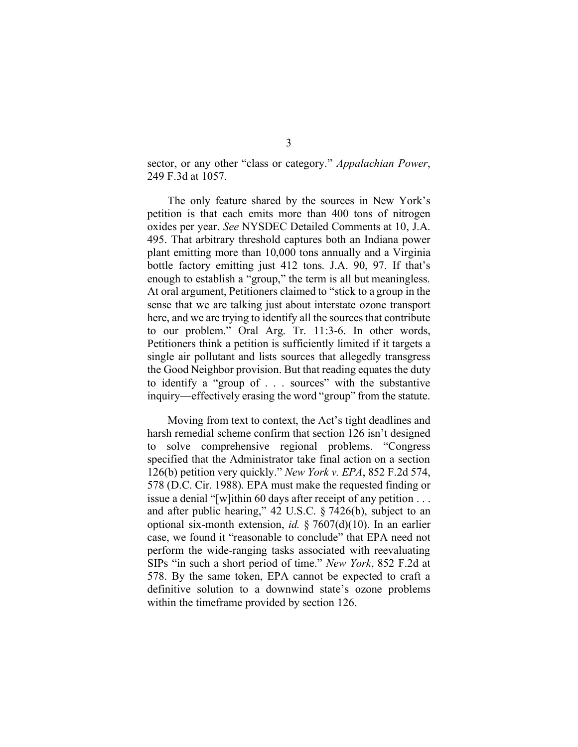sector, or any other "class or category." *Appalachian Power*, 249 F.3d at 1057.

The only feature shared by the sources in New York's petition is that each emits more than 400 tons of nitrogen oxides per year. *See* NYSDEC Detailed Comments at 10, J.A. 495. That arbitrary threshold captures both an Indiana power plant emitting more than 10,000 tons annually and a Virginia bottle factory emitting just 412 tons. J.A. 90, 97. If that's enough to establish a "group," the term is all but meaningless. At oral argument, Petitioners claimed to "stick to a group in the sense that we are talking just about interstate ozone transport here, and we are trying to identify all the sources that contribute to our problem." Oral Arg. Tr. 11:3-6. In other words, Petitioners think a petition is sufficiently limited if it targets a single air pollutant and lists sources that allegedly transgress the Good Neighbor provision. But that reading equates the duty to identify a "group of . . . sources" with the substantive inquiry—effectively erasing the word "group" from the statute.

Moving from text to context, the Act's tight deadlines and harsh remedial scheme confirm that section 126 isn't designed to solve comprehensive regional problems. "Congress specified that the Administrator take final action on a section 126(b) petition very quickly." *New York v. EPA*, 852 F.2d 574, 578 (D.C. Cir. 1988). EPA must make the requested finding or issue a denial "[w]ithin 60 days after receipt of any petition . . . and after public hearing," 42 U.S.C. § 7426(b), subject to an optional six-month extension, *id.* § 7607(d)(10). In an earlier case, we found it "reasonable to conclude" that EPA need not perform the wide-ranging tasks associated with reevaluating SIPs "in such a short period of time." *New York*, 852 F.2d at 578. By the same token, EPA cannot be expected to craft a definitive solution to a downwind state's ozone problems within the timeframe provided by section 126.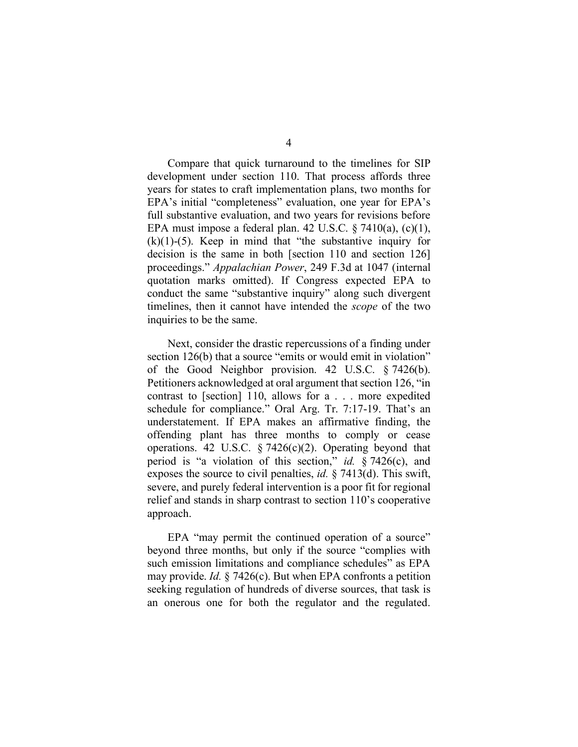Compare that quick turnaround to the timelines for SIP development under section 110. That process affords three years for states to craft implementation plans, two months for EPA's initial "completeness" evaluation, one year for EPA's full substantive evaluation, and two years for revisions before EPA must impose a federal plan. 42 U.S.C.  $\S$  7410(a), (c)(1),  $(k)(1)-(5)$ . Keep in mind that "the substantive inquiry for decision is the same in both [section 110 and section 126] proceedings." *Appalachian Power*, 249 F.3d at 1047 (internal quotation marks omitted). If Congress expected EPA to conduct the same "substantive inquiry" along such divergent timelines, then it cannot have intended the *scope* of the two inquiries to be the same.

Next, consider the drastic repercussions of a finding under section 126(b) that a source "emits or would emit in violation" of the Good Neighbor provision. 42 U.S.C. § 7426(b). Petitioners acknowledged at oral argument that section 126, "in contrast to [section] 110, allows for a . . . more expedited schedule for compliance." Oral Arg. Tr. 7:17-19. That's an understatement. If EPA makes an affirmative finding, the offending plant has three months to comply or cease operations. 42 U.S.C.  $\S$  7426(c)(2). Operating beyond that period is "a violation of this section," *id.* § 7426(c), and exposes the source to civil penalties, *id.* § 7413(d). This swift, severe, and purely federal intervention is a poor fit for regional relief and stands in sharp contrast to section 110's cooperative approach.

EPA "may permit the continued operation of a source" beyond three months, but only if the source "complies with such emission limitations and compliance schedules" as EPA may provide. *Id.* § 7426(c). But when EPA confronts a petition seeking regulation of hundreds of diverse sources, that task is an onerous one for both the regulator and the regulated.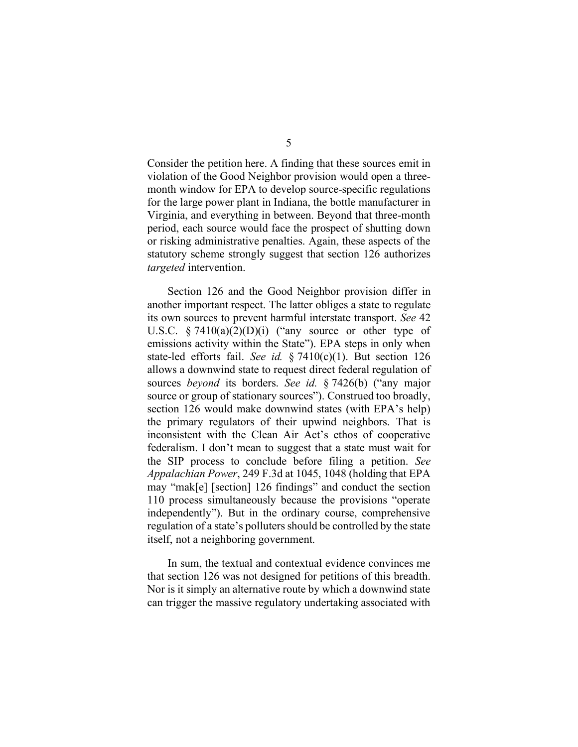Consider the petition here. A finding that these sources emit in violation of the Good Neighbor provision would open a threemonth window for EPA to develop source-specific regulations for the large power plant in Indiana, the bottle manufacturer in Virginia, and everything in between. Beyond that three-month period, each source would face the prospect of shutting down or risking administrative penalties. Again, these aspects of the statutory scheme strongly suggest that section 126 authorizes *targeted* intervention.

Section 126 and the Good Neighbor provision differ in another important respect. The latter obliges a state to regulate its own sources to prevent harmful interstate transport. *See* 42 U.S.C.  $\frac{1}{2}$  7410(a)(2)(D)(i) ("any source or other type of emissions activity within the State"). EPA steps in only when state-led efforts fail. *See id.* § 7410(c)(1). But section 126 allows a downwind state to request direct federal regulation of sources *beyond* its borders. *See id.* § 7426(b) ("any major source or group of stationary sources"). Construed too broadly, section 126 would make downwind states (with EPA's help) the primary regulators of their upwind neighbors. That is inconsistent with the Clean Air Act's ethos of cooperative federalism. I don't mean to suggest that a state must wait for the SIP process to conclude before filing a petition. *See Appalachian Power*, 249 F.3d at 1045, 1048 (holding that EPA may "mak[e] [section] 126 findings" and conduct the section 110 process simultaneously because the provisions "operate independently"). But in the ordinary course, comprehensive regulation of a state's polluters should be controlled by the state itself, not a neighboring government.

In sum, the textual and contextual evidence convinces me that section 126 was not designed for petitions of this breadth. Nor is it simply an alternative route by which a downwind state can trigger the massive regulatory undertaking associated with